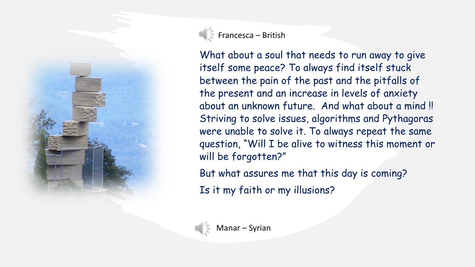

 $\left\| \cdot \right\|$  Francesca – British

What about a soul that needs to run away to give itself some peace? To always find itself stuck between the pain of the past and the pitfalls of the present and an increase in levels of anxiety about an unknown future. And what about a mind !! Striving to solve issues, algorithms and Pythagoras were unable to solve it. To always repeat the same question, "Will I be alive to witness this moment or will be forgotten?"

But what assures me that this day is coming?

Is it my faith or my illusions?

Manar – Syrian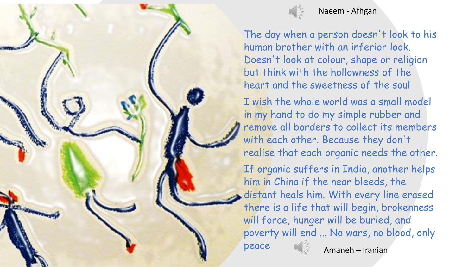



The day when a person doesn't look to his human brother with an inferior look. Doesn't look at colour, shape or religion but think with the hollowness of the heart and the sweetness of the soul

I wish the whole world was a small model in my hand to do my simple rubber and remove all borders to collect its members with each other. Because they don't realise that each organic needs the other.

If organic suffers in India, another helps him in China if the near bleeds, the distant heals him. With every line erased there is a life that will begin, brokenness will force, hunger will be buried, and poverty will end ... No wars, no blood, only

peace

Amaneh – Iranian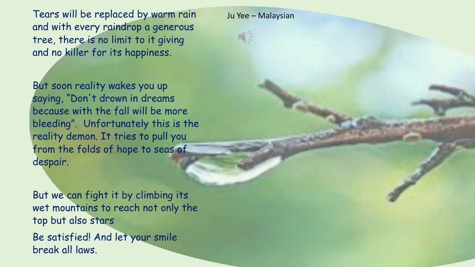Tears will be replaced by warm rain and with every raindrop a generous tree, there is no limit to it giving and no killer for its happiness.

Ju Yee – Malaysian



But soon reality wakes you up saying, "Don't drown in dreams because with the fall will be more bleeding". Unfortunately this is the reality demon. It tries to pull you from the folds of hope to seas of despair.

But we can fight it by climbing its wet mountains to reach not only the top but also stars

Be satisfied! And let your smile break all laws.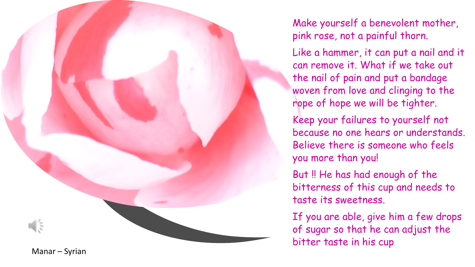Make yourself a benevolent mother, pink rose, not a painful thorn.

Like a hammer, it can put a nail and it can remove it. What if we take out the nail of pain and put a bandage woven from love and clinging to the rope of hope we will be tighter.

Keep your failures to yourself not because no one hears or understands. Believe there is someone who feels you more than you!

But !! He has had enough of the bitterness of this cup and needs to taste its sweetness.

If you are able, give him a few drops of sugar so that he can adjust the bitter taste in his cup

Manar – Syrian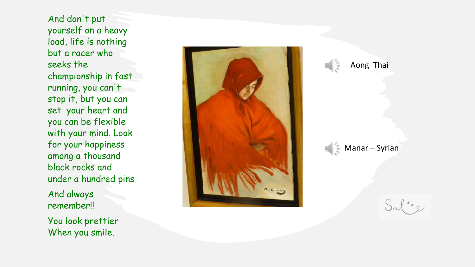And don't put yourself on a heavy load, life is nothing but a racer who seeks the championship in fast running, you can't stop it, but you can set your heart and you can be flexible with your mind. Look for your happiness among a thousand black rocks and under a hundred pins

And always remember!!

You look prettier When you smile.





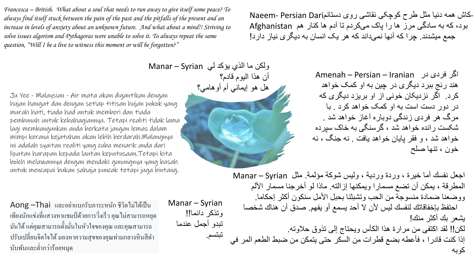*Francesca – British. What about a soul that needs to run away to give itself some peace? To always find itself stuck between the pain of the past and the pitfalls of the present and an increase in levels of anxiety about an unknown future. And what about a mind!! Striving to solve issues algorism and Pythagoras were unable to solve it. To always repeat the same question, "Will I be a live to witness this moment or will be forgotten?"*

Ju Yee - Malaysian - Air mata akan digantikan dengan hujan hangat dan dengan setiap titisan hujan pokok yang murah hati, tiada had untuk memberi dan tiada pembunuh untuk kebahagiannya. Tetapi realiti tidak lama lagi membangunkan anda berkata jangan lemas dalam mimpi kerana kejatuhan akan lebih berdarah.Malangnya ini adalah syaitan realiti yang cuba menarik anda dari lipatan harapan kepada lautan keputusaan.Tetapi kita boleh melawannya dengan mendaki gunungnya yang basah untuk mencapai bukan sahaja puncak tetapi juga bintang.

 $A$ ong  $-\text{\textsf{T}}$ hai และอย่าแบกรับภาระหนัก ชีวิตไม่ได้เป็น เพียงนักแข่งที่แสวงหาแชมป์ด้วยการวิ่งเร็ว คุณไม่สามารถหยุด มนัได ้ แต่คุณสามารถต้งัมนั่ ในหวัใจของคุณ และคุณสามารถ ปรับเปลี่ยนจิตใจ ได้ มองหาความสุขของคุณท่ามกลางหินสีดำ นับพันและต่ำกว่าร้อยหมุด

Manar – Syrian وتذكر دائما!! تبدو أجمل عندما تبتسم.

بود، که به سادگی مرز ها را پاک می کردم تا آدم ها کنار هم Afghanistan-کاش همه دنیا مثل طرح کوچکی نقاشی روی دستانمDari Persian -Naeem جمع میشدند. چرا که آنها نمی داند که هر یک انسان به دیگری نیاز دارد!

> اگر فردی در Iranian – Persian – Amenah هند رنج ببرد دیگری در چین به او کمک خواهد کرد. اگر نزدیکان خونی از او بریزد دیگری که در دور دست است به او کمک خواهد کرد . با مرگ هر فردی زندگی دوباره آغاز خواهد شد . شکست رانده خواهد شد ، گرسنگی به خاک سپرده خواهد شد ، و فقر پایان خواهد یافت . نه جنگ ، نه خون ، تنها صلح

اجعل نفسك أما خیرة ، وردة وردیة ، ولیس شوكة مؤلمة. مثل Syrian – Manar المطرقة ، یمكن أن تضع مسمارا ویمكنها إزالته. ماذا لو أخرجنا مسمار األلم ووضعنا ضمادة منسوجة من الحب وتشبثنا بحبل األمل سنكون أكثر إحكاما. احتفظ بإخفاقاتك لنفسك لیس ألن ال أحد یسمع أو یفهم. صدق أن هناك شخصا یشعر بك أكثر منك! لكن!! لقد اكتفى من مرارة هذا الكأس ویحتاج إلى تذوق حالوته. إذا كنت قادرا ، فأعطه بضع قطرات من السكر حتى یتمكن من ضبط الطعم المر في كوبه

ولكن ما الذي یؤكد لي Syrian – Manar أن هذا الیوم قادم؟ هل هو إیماني أم أوهامي؟